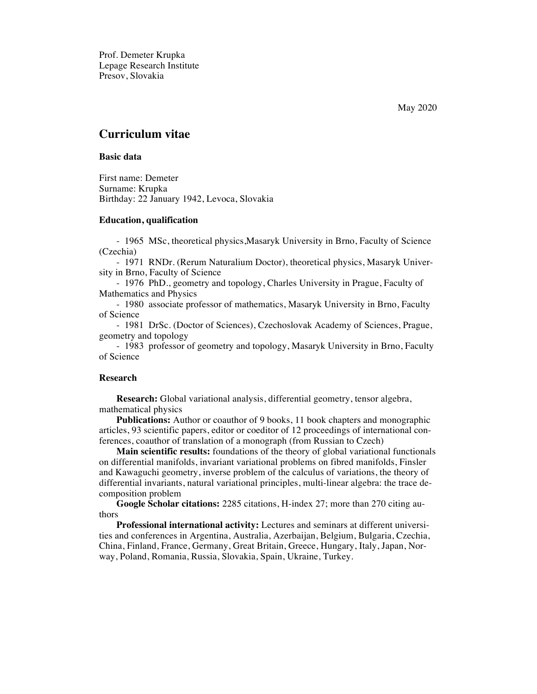Prof. Demeter Krupka Lepage Research Institute Presov, Slovakia

May 2020

# **Curriculum vitae**

**Basic data**

First name: Demeter Surname: Krupka Birthday: 22 January 1942, Levoca, Slovakia

# **Education, qualification**

- 1965 MSc, theoretical physics,Masaryk University in Brno, Faculty of Science (Czechia)

- 1971 RNDr. (Rerum Naturalium Doctor), theoretical physics, Masaryk University in Brno, Faculty of Science

- 1976 PhD., geometry and topology, Charles University in Prague, Faculty of Mathematics and Physics

- 1980 associate professor of mathematics, Masaryk University in Brno, Faculty of Science

- 1981 DrSc. (Doctor of Sciences), Czechoslovak Academy of Sciences, Prague, geometry and topology

- 1983 professor of geometry and topology, Masaryk University in Brno, Faculty of Science

## **Research**

**Research:** Global variational analysis, differential geometry, tensor algebra, mathematical physics

**Publications:** Author or coauthor of 9 books, 11 book chapters and monographic articles, 93 scientific papers, editor or coeditor of 12 proceedings of international conferences, coauthor of translation of a monograph (from Russian to Czech)

**Main scientific results:** foundations of the theory of global variational functionals on differential manifolds, invariant variational problems on fibred manifolds, Finsler and Kawaguchi geometry, inverse problem of the calculus of variations, the theory of differential invariants, natural variational principles, multi-linear algebra: the trace decomposition problem

**Google Scholar citations:** 2285 citations, H-index 27; more than 270 citing authors

**Professional international activity:** Lectures and seminars at different universities and conferences in Argentina, Australia, Azerbaijan, Belgium, Bulgaria, Czechia, China, Finland, France, Germany, Great Britain, Greece, Hungary, Italy, Japan, Norway, Poland, Romania, Russia, Slovakia, Spain, Ukraine, Turkey.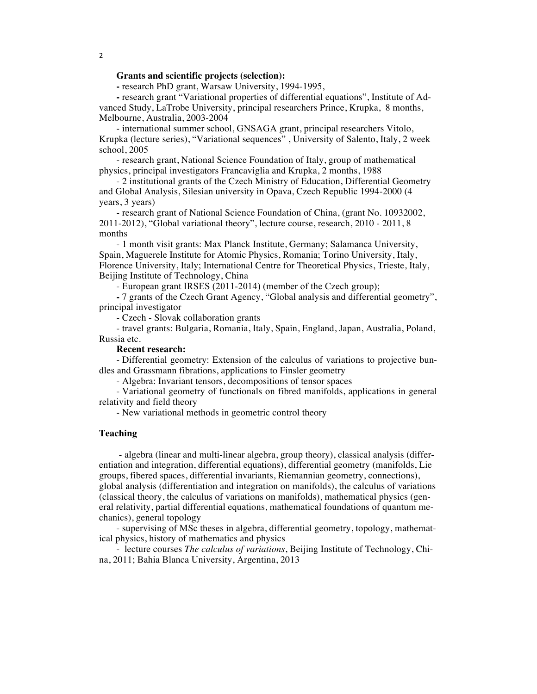### **Grants and scientific projects (selection):**

**-** research PhD grant, Warsaw University, 1994-1995,

**-** research grant "Variational properties of differential equations", Institute of Advanced Study, LaTrobe University, principal researchers Prince, Krupka, 8 months, Melbourne, Australia, 2003-2004

- international summer school, GNSAGA grant, principal researchers Vitolo, Krupka (lecture series), "Variational sequences" , University of Salento, Italy, 2 week school, 2005

- research grant, National Science Foundation of Italy, group of mathematical physics, principal investigators Francaviglia and Krupka, 2 months, 1988

- 2 institutional grants of the Czech Ministry of Education, Differential Geometry and Global Analysis, Silesian university in Opava, Czech Republic 1994-2000 (4 years, 3 years)

- research grant of National Science Foundation of China, (grant No. 10932002, 2011-2012), "Global variational theory", lecture course, research, 2010 - 2011, 8 months

- 1 month visit grants: Max Planck Institute, Germany; Salamanca University, Spain, Maguerele Institute for Atomic Physics, Romania; Torino University, Italy, Florence University, Italy; International Centre for Theoretical Physics, Trieste, Italy, Beijing Institute of Technology, China

- European grant IRSES (2011-2014) (member of the Czech group);

**-** 7 grants of the Czech Grant Agency, "Global analysis and differential geometry", principal investigator

- Czech - Slovak collaboration grants

- travel grants: Bulgaria, Romania, Italy, Spain, England, Japan, Australia, Poland, Russia etc.

### **Recent research:**

- Differential geometry: Extension of the calculus of variations to projective bundles and Grassmann fibrations, applications to Finsler geometry

- Algebra: Invariant tensors, decompositions of tensor spaces

- Variational geometry of functionals on fibred manifolds, applications in general relativity and field theory

- New variational methods in geometric control theory

## **Teaching**

- algebra (linear and multi-linear algebra, group theory), classical analysis (differentiation and integration, differential equations), differential geometry (manifolds, Lie groups, fibered spaces, differential invariants, Riemannian geometry, connections), global analysis (differentiation and integration on manifolds), the calculus of variations (classical theory, the calculus of variations on manifolds), mathematical physics (general relativity, partial differential equations, mathematical foundations of quantum mechanics), general topology

- supervising of MSc theses in algebra, differential geometry, topology, mathematical physics, history of mathematics and physics

- lecture courses *The calculus of variations*, Beijing Institute of Technology, China, 2011; Bahia Blanca University, Argentina, 2013